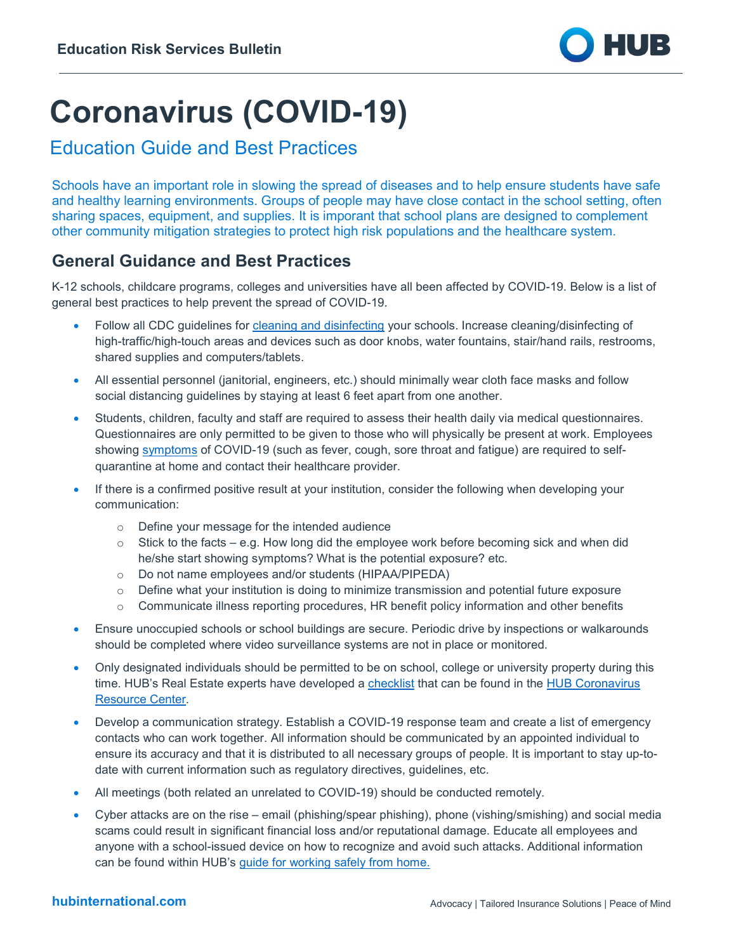

# **Coronavirus (COVID-19)**

# Education Guide and Best Practices

Schools have an important role in slowing the spread of diseases and to help ensure students have safe and healthy learning environments. Groups of people may have close contact in the school setting, often sharing spaces, equipment, and supplies. It is imporant that school plans are designed to complement other community mitigation strategies to protect high risk populations and the healthcare system.

## **General Guidance and Best Practices**

K-12 schools, childcare programs, colleges and universities have all been affected by COVID-19. Below is a list of general best practices to help prevent the spread of COVID-19.

- Follow all CDC guidelines for [cleaning and disinfecting](https://www.cdc.gov/coronavirus/2019-ncov/community/organizations/cleaning-disinfection.html) your schools. Increase cleaning/disinfecting of high-traffic/high-touch areas and devices such as door knobs, water fountains, stair/hand rails, restrooms, shared supplies and computers/tablets.
- All essential personnel (janitorial, engineers, etc.) should minimally wear cloth face masks and follow social distancing guidelines by staying at least 6 feet apart from one another.
- Students, children, faculty and staff are required to assess their health daily via medical questionnaires. Questionnaires are only permitted to be given to those who will physically be present at work. Employees showing [symptoms](https://www.cdc.gov/coronavirus/2019-ncov/symptoms-testing/symptoms.html) of COVID-19 (such as fever, cough, sore throat and fatigue) are required to selfquarantine at home and contact their healthcare provider.
- If there is a confirmed positive result at your institution, consider the following when developing your communication:
	- o Define your message for the intended audience
	- $\circ$  Stick to the facts e.g. How long did the employee work before becoming sick and when did he/she start showing symptoms? What is the potential exposure? etc.
	- o Do not name employees and/or students (HIPAA/PIPEDA)
	- $\circ$  Define what your institution is doing to minimize transmission and potential future exposure
	- $\circ$  Communicate illness reporting procedures, HR benefit policy information and other benefits
- Ensure unoccupied schools or school buildings are secure. Periodic drive by inspections or walkarounds should be completed where video surveillance systems are not in place or monitored.
- Only designated individuals should be permitted to be on school, college or university property during this time. HUB's Real Estate experts have developed a [checklist](https://www.hubinternational.com/-/media/HUB-International/PDF/Crisis-Resource-Center/Resources/Infectious-Disease/RSB-COVID19-Real-Estate.pdf?la=en&hash=0FACDE75BE8F636DD56427F7BDF3F0BC76F7DD93) that can be found in the [HUB Coronavirus](https://www.hubinternational.com/products/risk-services/hub-crisis-resources/coronavirus-resource-center/?utm_medium=resources&utm_source=covid_pdf&utm_campaign=covid_pdf_footer&utm_busunit=covid&utm_cmpyr=2020&utm_content=pdf_footer&utm_tstvar=&utm_spec=&partner=)  [Resource Center.](https://www.hubinternational.com/products/risk-services/hub-crisis-resources/coronavirus-resource-center/?utm_medium=resources&utm_source=covid_pdf&utm_campaign=covid_pdf_footer&utm_busunit=covid&utm_cmpyr=2020&utm_content=pdf_footer&utm_tstvar=&utm_spec=&partner=)
- Develop a communication strategy. Establish a COVID-19 response team and create a list of emergency contacts who can work together. All information should be communicated by an appointed individual to ensure its accuracy and that it is distributed to all necessary groups of people. It is important to stay up-todate with current information such as regulatory directives, guidelines, etc.
- All meetings (both related an unrelated to COVID-19) should be conducted remotely.
- Cyber attacks are on the rise email (phishing/spear phishing), phone (vishing/smishing) and social media scams could result in significant financial loss and/or reputational damage. Educate all employees and anyone with a school-issued device on how to recognize and avoid such attacks. Additional information can be found within HUB's [guide for working safely from](https://www.hubinternational.com/-/media/HUB-International/PDF/Crisis-Resource-Center/Resources/Infectious-Disease/Risk-Services-Bulletin-Telecommuting_2020.pdf?la=en&hash=E5764660A86F1DB5603CA06E58F311AB6B963E97) home.

## **hubinternational.com**